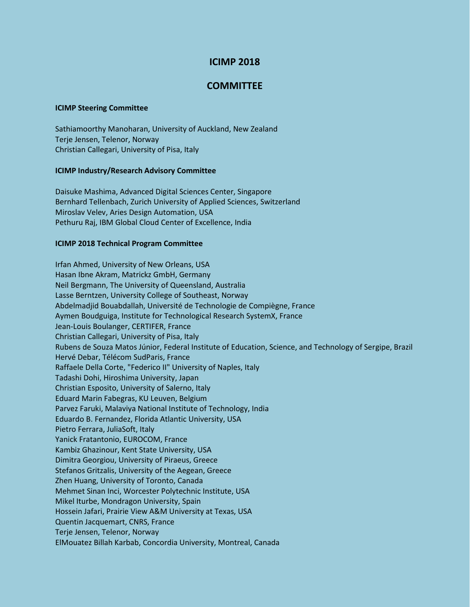# **ICIMP 2018**

## **COMMITTEE**

### **ICIMP Steering Committee**

Sathiamoorthy Manoharan, University of Auckland, New Zealand Terje Jensen, Telenor, Norway Christian Callegari, University of Pisa, Italy

### **ICIMP Industry/Research Advisory Committee**

Daisuke Mashima, Advanced Digital Sciences Center, Singapore Bernhard Tellenbach, Zurich University of Applied Sciences, Switzerland Miroslav Velev, Aries Design Automation, USA Pethuru Raj, IBM Global Cloud Center of Excellence, India

### **ICIMP 2018 Technical Program Committee**

Irfan Ahmed, University of New Orleans, USA Hasan Ibne Akram, Matrickz GmbH, Germany Neil Bergmann, The University of Queensland, Australia Lasse Berntzen, University College of Southeast, Norway Abdelmadjid Bouabdallah, Université de Technologie de Compiègne, France Aymen Boudguiga, Institute for Technological Research SystemX, France Jean-Louis Boulanger, CERTIFER, France Christian Callegari, University of Pisa, Italy Rubens de Souza Matos Júnior, Federal Institute of Education, Science, and Technology of Sergipe, Brazil Hervé Debar, Télécom SudParis, France Raffaele Della Corte, "Federico II" University of Naples, Italy Tadashi Dohi, Hiroshima University, Japan Christian Esposito, University of Salerno, Italy Eduard Marin Fabegras, KU Leuven, Belgium Parvez Faruki, Malaviya National Institute of Technology, India Eduardo B. Fernandez, Florida Atlantic University, USA Pietro Ferrara, JuliaSoft, Italy Yanick Fratantonio, EUROCOM, France Kambiz Ghazinour, Kent State University, USA Dimitra Georgiou, University of Piraeus, Greece Stefanos Gritzalis, University of the Aegean, Greece Zhen Huang, University of Toronto, Canada Mehmet Sinan Inci, Worcester Polytechnic Institute, USA Mikel Iturbe, Mondragon University, Spain Hossein Jafari, Prairie View A&M University at Texas, USA Quentin Jacquemart, CNRS, France Terje Jensen, Telenor, Norway ElMouatez Billah Karbab, Concordia University, Montreal, Canada